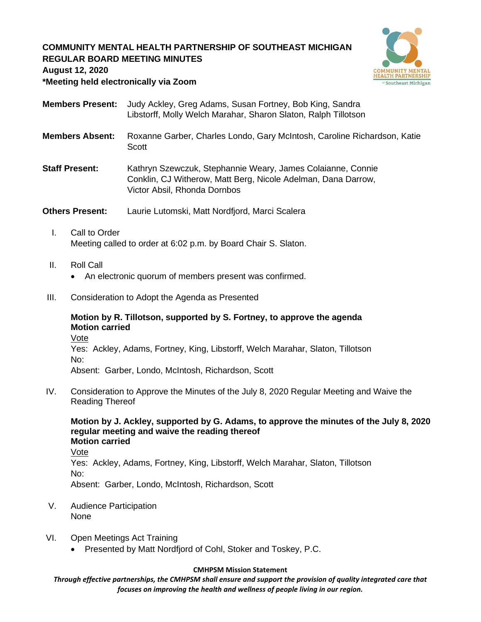# **COMMUNITY MENTAL HEALTH PARTNERSHIP OF SOUTHEAST MICHIGAN REGULAR BOARD MEETING MINUTES**



**August 12, 2020**

**\*Meeting held electronically via Zoom**

- **Members Present:** Judy Ackley, Greg Adams, Susan Fortney, Bob King, Sandra Libstorff, Molly Welch Marahar, Sharon Slaton, Ralph Tillotson
- **Members Absent:** Roxanne Garber, Charles Londo, Gary McIntosh, Caroline Richardson, Katie **Scott**
- **Staff Present:** Kathryn Szewczuk, Stephannie Weary, James Colaianne, Connie Conklin, CJ Witherow, Matt Berg, Nicole Adelman, Dana Darrow, Victor Absil, Rhonda Dornbos

**Others Present:** Laurie Lutomski, Matt Nordfjord, Marci Scalera

- I. Call to Order Meeting called to order at 6:02 p.m. by Board Chair S. Slaton.
- II. Roll Call
	- An electronic quorum of members present was confirmed.
- III. Consideration to Adopt the Agenda as Presented

## **Motion by R. Tillotson, supported by S. Fortney, to approve the agenda Motion carried**

Vote

Yes: Ackley, Adams, Fortney, King, Libstorff, Welch Marahar, Slaton, Tillotson No:

Absent: Garber, Londo, McIntosh, Richardson, Scott

IV. Consideration to Approve the Minutes of the July 8, 2020 Regular Meeting and Waive the Reading Thereof

**Motion by J. Ackley, supported by G. Adams, to approve the minutes of the July 8, 2020 regular meeting and waive the reading thereof Motion carried**

Vote

Yes: Ackley, Adams, Fortney, King, Libstorff, Welch Marahar, Slaton, Tillotson No:

Absent: Garber, Londo, McIntosh, Richardson, Scott

- V. Audience Participation None
- VI. Open Meetings Act Training
	- Presented by Matt Nordfjord of Cohl, Stoker and Toskey, P.C.

## **CMHPSM Mission Statement**

*Through effective partnerships, the CMHPSM shall ensure and support the provision of quality integrated care that focuses on improving the health and wellness of people living in our region.*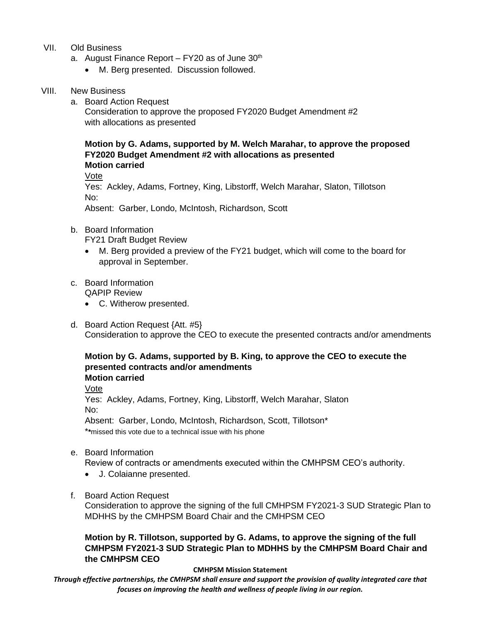- VII. Old Business
	- a. August Finance Report FY20 as of June 30<sup>th</sup>
		- M. Berg presented. Discussion followed.

## VIII. New Business

a. Board Action Request

Consideration to approve the proposed FY2020 Budget Amendment #2 with allocations as presented

**Motion by G. Adams, supported by M. Welch Marahar, to approve the proposed FY2020 Budget Amendment #2 with allocations as presented Motion carried**

Vote

Yes: Ackley, Adams, Fortney, King, Libstorff, Welch Marahar, Slaton, Tillotson No:

Absent: Garber, Londo, McIntosh, Richardson, Scott

b. Board Information

FY21 Draft Budget Review

- M. Berg provided a preview of the FY21 budget, which will come to the board for approval in September.
- c. Board Information QAPIP Review
	- C. Witherow presented.
- d. Board Action Request {Att. #5} Consideration to approve the CEO to execute the presented contracts and/or amendments

#### **Motion by G. Adams, supported by B. King, to approve the CEO to execute the presented contracts and/or amendments Motion carried**

Vote

Yes: Ackley, Adams, Fortney, King, Libstorff, Welch Marahar, Slaton No:

Absent: Garber, Londo, McIntosh, Richardson, Scott, Tillotson\*

\***\***missed this vote due to a technical issue with his phone

e. Board Information

Review of contracts or amendments executed within the CMHPSM CEO's authority.

- J. Colaianne presented.
- f. Board Action Request

Consideration to approve the signing of the full CMHPSM FY2021-3 SUD Strategic Plan to MDHHS by the CMHPSM Board Chair and the CMHPSM CEO

**Motion by R. Tillotson, supported by G. Adams, to approve the signing of the full CMHPSM FY2021-3 SUD Strategic Plan to MDHHS by the CMHPSM Board Chair and the CMHPSM CEO**

#### **CMHPSM Mission Statement**

*Through effective partnerships, the CMHPSM shall ensure and support the provision of quality integrated care that focuses on improving the health and wellness of people living in our region.*